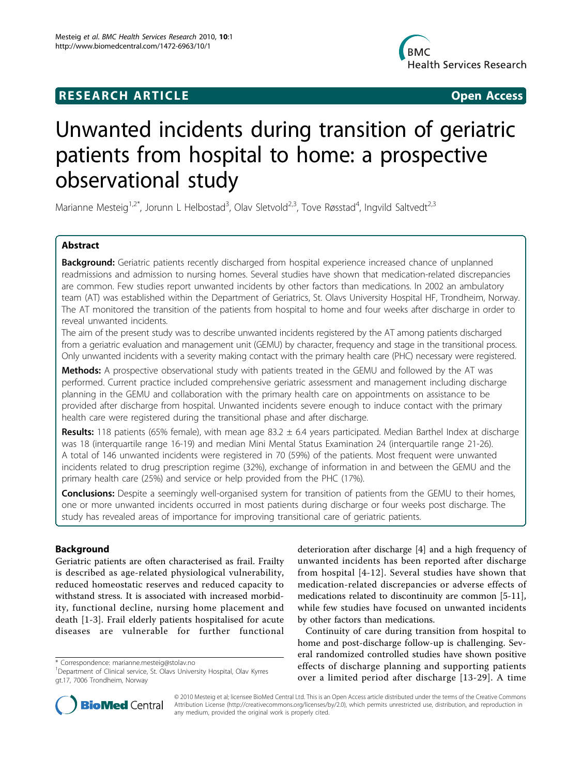## **RESEARCH ARTICLE Example 2018 CONSIDERING ACCESS**



# Unwanted incidents during transition of geriatric patients from hospital to home: a prospective observational study

Marianne Mesteig<sup>1,2\*</sup>, Jorunn L Helbostad<sup>3</sup>, Olav Sletvold<sup>2,3</sup>, Tove Røsstad<sup>4</sup>, Ingvild Saltvedt<sup>2,3</sup>

## Abstract

Background: Geriatric patients recently discharged from hospital experience increased chance of unplanned readmissions and admission to nursing homes. Several studies have shown that medication-related discrepancies are common. Few studies report unwanted incidents by other factors than medications. In 2002 an ambulatory team (AT) was established within the Department of Geriatrics, St. Olavs University Hospital HF, Trondheim, Norway. The AT monitored the transition of the patients from hospital to home and four weeks after discharge in order to reveal unwanted incidents.

The aim of the present study was to describe unwanted incidents registered by the AT among patients discharged from a geriatric evaluation and management unit (GEMU) by character, frequency and stage in the transitional process. Only unwanted incidents with a severity making contact with the primary health care (PHC) necessary were registered.

**Methods:** A prospective observational study with patients treated in the GEMU and followed by the AT was performed. Current practice included comprehensive geriatric assessment and management including discharge planning in the GEMU and collaboration with the primary health care on appointments on assistance to be provided after discharge from hospital. Unwanted incidents severe enough to induce contact with the primary health care were registered during the transitional phase and after discharge.

Results: 118 patients (65% female), with mean age  $83.2 \pm 6.4$  years participated. Median Barthel Index at discharge was 18 (interquartile range 16-19) and median Mini Mental Status Examination 24 (interquartile range 21-26). A total of 146 unwanted incidents were registered in 70 (59%) of the patients. Most frequent were unwanted incidents related to drug prescription regime (32%), exchange of information in and between the GEMU and the primary health care (25%) and service or help provided from the PHC (17%).

Conclusions: Despite a seemingly well-organised system for transition of patients from the GEMU to their homes, one or more unwanted incidents occurred in most patients during discharge or four weeks post discharge. The study has revealed areas of importance for improving transitional care of geriatric patients.

## Background

Geriatric patients are often characterised as frail. Frailty is described as age-related physiological vulnerability, reduced homeostatic reserves and reduced capacity to withstand stress. It is associated with increased morbidity, functional decline, nursing home placement and death [[1-3](#page-7-0)]. Frail elderly patients hospitalised for acute diseases are vulnerable for further functional

deterioration after discharge [\[4](#page-7-0)] and a high frequency of unwanted incidents has been reported after discharge from hospital [\[4-](#page-7-0)[12\]](#page-8-0). Several studies have shown that medication-related discrepancies or adverse effects of medications related to discontinuity are common [[5](#page-7-0)[-11](#page-8-0)], while few studies have focused on unwanted incidents by other factors than medications.

Continuity of care during transition from hospital to home and post-discharge follow-up is challenging. Several randomized controlled studies have shown positive effects of discharge planning and supporting patients over a limited period after discharge [[13-29\]](#page-8-0). A time



© 2010 Mesteig et al; licensee BioMed Central Ltd. This is an Open Access article distributed under the terms of the Creative Commons Attribution License [\(http://creativecommons.org/licenses/by/2.0](http://creativecommons.org/licenses/by/2.0)), which permits unrestricted use, distribution, and reproduction in any medium, provided the original work is properly cited.

<sup>\*</sup> Correspondence: [marianne.mesteig@stolav.no](mailto:marianne.mesteig@stolav.no)

<sup>&</sup>lt;sup>1</sup>Department of Clinical service, St. Olavs University Hospital, Olav Kyrres gt.17, 7006 Trondheim, Norway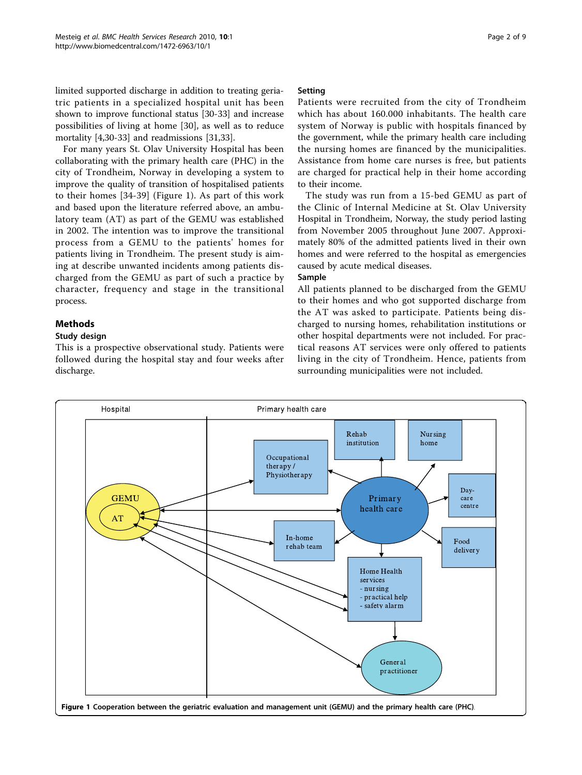<span id="page-1-0"></span>limited supported discharge in addition to treating geriatric patients in a specialized hospital unit has been shown to improve functional status [[30](#page-8-0)-[33\]](#page-8-0) and increase possibilities of living at home [[30](#page-8-0)], as well as to reduce mortality [\[4](#page-7-0)[,30-33](#page-8-0)] and readmissions [[31,33](#page-8-0)].

For many years St. Olav University Hospital has been collaborating with the primary health care (PHC) in the city of Trondheim, Norway in developing a system to improve the quality of transition of hospitalised patients to their homes [[34](#page-8-0)-[39\]](#page-8-0) (Figure 1). As part of this work and based upon the literature referred above, an ambulatory team (AT) as part of the GEMU was established in 2002. The intention was to improve the transitional process from a GEMU to the patients' homes for patients living in Trondheim. The present study is aiming at describe unwanted incidents among patients discharged from the GEMU as part of such a practice by character, frequency and stage in the transitional process.

## Methods

#### Study design

This is a prospective observational study. Patients were followed during the hospital stay and four weeks after discharge.

#### **Setting**

Patients were recruited from the city of Trondheim which has about 160.000 inhabitants. The health care system of Norway is public with hospitals financed by the government, while the primary health care including the nursing homes are financed by the municipalities. Assistance from home care nurses is free, but patients are charged for practical help in their home according to their income.

The study was run from a 15-bed GEMU as part of the Clinic of Internal Medicine at St. Olav University Hospital in Trondheim, Norway, the study period lasting from November 2005 throughout June 2007. Approximately 80% of the admitted patients lived in their own homes and were referred to the hospital as emergencies caused by acute medical diseases.

## Sample

All patients planned to be discharged from the GEMU to their homes and who got supported discharge from the AT was asked to participate. Patients being discharged to nursing homes, rehabilitation institutions or other hospital departments were not included. For practical reasons AT services were only offered to patients living in the city of Trondheim. Hence, patients from surrounding municipalities were not included.

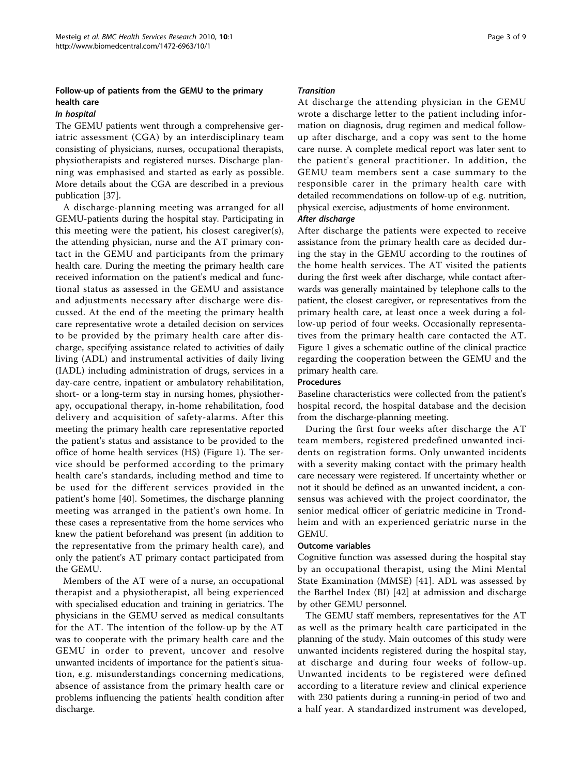## Follow-up of patients from the GEMU to the primary health care

## In hospital

The GEMU patients went through a comprehensive geriatric assessment (CGA) by an interdisciplinary team consisting of physicians, nurses, occupational therapists, physiotherapists and registered nurses. Discharge planning was emphasised and started as early as possible. More details about the CGA are described in a previous publication [[37](#page-8-0)].

A discharge-planning meeting was arranged for all GEMU-patients during the hospital stay. Participating in this meeting were the patient, his closest caregiver(s), the attending physician, nurse and the AT primary contact in the GEMU and participants from the primary health care. During the meeting the primary health care received information on the patient's medical and functional status as assessed in the GEMU and assistance and adjustments necessary after discharge were discussed. At the end of the meeting the primary health care representative wrote a detailed decision on services to be provided by the primary health care after discharge, specifying assistance related to activities of daily living (ADL) and instrumental activities of daily living (IADL) including administration of drugs, services in a day-care centre, inpatient or ambulatory rehabilitation, short- or a long-term stay in nursing homes, physiotherapy, occupational therapy, in-home rehabilitation, food delivery and acquisition of safety-alarms. After this meeting the primary health care representative reported the patient's status and assistance to be provided to the office of home health services (HS) [\(Figure 1](#page-1-0)). The service should be performed according to the primary health care's standards, including method and time to be used for the different services provided in the patient's home [[40\]](#page-8-0). Sometimes, the discharge planning meeting was arranged in the patient's own home. In these cases a representative from the home services who knew the patient beforehand was present (in addition to the representative from the primary health care), and only the patient's AT primary contact participated from the GEMU.

Members of the AT were of a nurse, an occupational therapist and a physiotherapist, all being experienced with specialised education and training in geriatrics. The physicians in the GEMU served as medical consultants for the AT. The intention of the follow-up by the AT was to cooperate with the primary health care and the GEMU in order to prevent, uncover and resolve unwanted incidents of importance for the patient's situation, e.g. misunderstandings concerning medications, absence of assistance from the primary health care or problems influencing the patients' health condition after discharge.

#### **Transition**

At discharge the attending physician in the GEMU wrote a discharge letter to the patient including information on diagnosis, drug regimen and medical followup after discharge, and a copy was sent to the home care nurse. A complete medical report was later sent to the patient's general practitioner. In addition, the GEMU team members sent a case summary to the responsible carer in the primary health care with detailed recommendations on follow-up of e.g. nutrition, physical exercise, adjustments of home environment.

#### After discharge

After discharge the patients were expected to receive assistance from the primary health care as decided during the stay in the GEMU according to the routines of the home health services. The AT visited the patients during the first week after discharge, while contact afterwards was generally maintained by telephone calls to the patient, the closest caregiver, or representatives from the primary health care, at least once a week during a follow-up period of four weeks. Occasionally representatives from the primary health care contacted the AT. [Figure 1](#page-1-0) gives a schematic outline of the clinical practice regarding the cooperation between the GEMU and the primary health care.

#### Procedures

Baseline characteristics were collected from the patient's hospital record, the hospital database and the decision from the discharge-planning meeting.

During the first four weeks after discharge the AT team members, registered predefined unwanted incidents on registration forms. Only unwanted incidents with a severity making contact with the primary health care necessary were registered. If uncertainty whether or not it should be defined as an unwanted incident, a consensus was achieved with the project coordinator, the senior medical officer of geriatric medicine in Trondheim and with an experienced geriatric nurse in the GEMU.

#### Outcome variables

Cognitive function was assessed during the hospital stay by an occupational therapist, using the Mini Mental State Examination (MMSE) [[41\]](#page-8-0). ADL was assessed by the Barthel Index (BI) [[42\]](#page-8-0) at admission and discharge by other GEMU personnel.

The GEMU staff members, representatives for the AT as well as the primary health care participated in the planning of the study. Main outcomes of this study were unwanted incidents registered during the hospital stay, at discharge and during four weeks of follow-up. Unwanted incidents to be registered were defined according to a literature review and clinical experience with 230 patients during a running-in period of two and a half year. A standardized instrument was developed,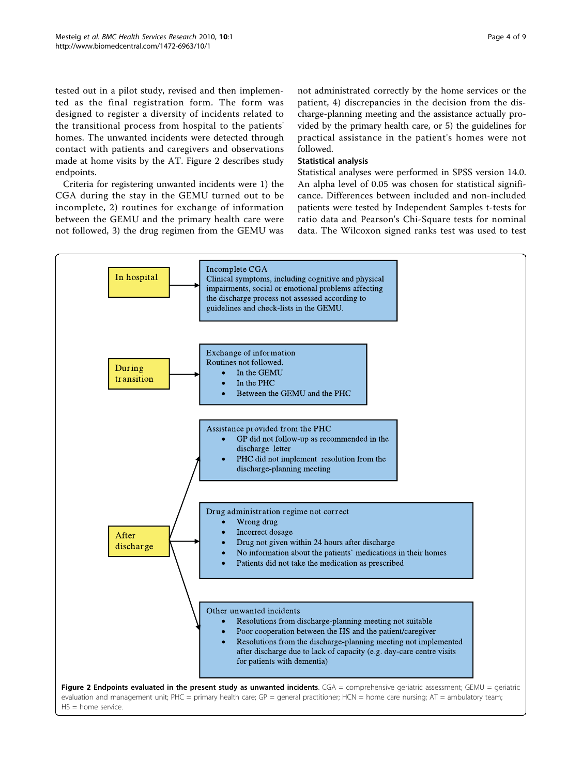tested out in a pilot study, revised and then implemented as the final registration form. The form was designed to register a diversity of incidents related to the transitional process from hospital to the patients' homes. The unwanted incidents were detected through contact with patients and caregivers and observations made at home visits by the AT. Figure 2 describes study endpoints.

Criteria for registering unwanted incidents were 1) the CGA during the stay in the GEMU turned out to be incomplete, 2) routines for exchange of information between the GEMU and the primary health care were not followed, 3) the drug regimen from the GEMU was not administrated correctly by the home services or the patient, 4) discrepancies in the decision from the discharge-planning meeting and the assistance actually provided by the primary health care, or 5) the guidelines for practical assistance in the patient's homes were not followed.

## Statistical analysis

Statistical analyses were performed in SPSS version 14.0. An alpha level of 0.05 was chosen for statistical significance. Differences between included and non-included patients were tested by Independent Samples t-tests for ratio data and Pearson's Chi-Square tests for nominal data. The Wilcoxon signed ranks test was used to test

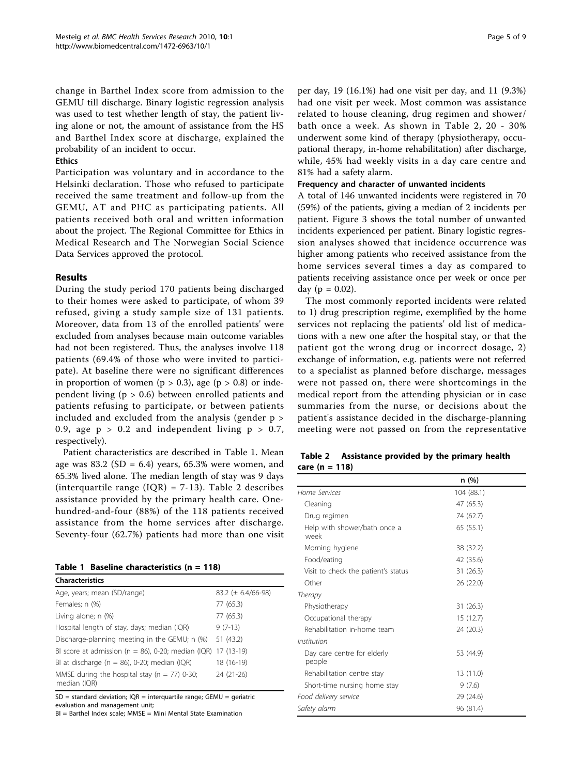change in Barthel Index score from admission to the GEMU till discharge. Binary logistic regression analysis was used to test whether length of stay, the patient living alone or not, the amount of assistance from the HS and Barthel Index score at discharge, explained the probability of an incident to occur.

#### Ethics

Participation was voluntary and in accordance to the Helsinki declaration. Those who refused to participate received the same treatment and follow-up from the GEMU, AT and PHC as participating patients. All patients received both oral and written information about the project. The Regional Committee for Ethics in Medical Research and The Norwegian Social Science Data Services approved the protocol.

## Results

During the study period 170 patients being discharged to their homes were asked to participate, of whom 39 refused, giving a study sample size of 131 patients. Moreover, data from 13 of the enrolled patients' were excluded from analyses because main outcome variables had not been registered. Thus, the analyses involve 118 patients (69.4% of those who were invited to participate). At baseline there were no significant differences in proportion of women ( $p > 0.3$ ), age ( $p > 0.8$ ) or independent living ( $p > 0.6$ ) between enrolled patients and patients refusing to participate, or between patients included and excluded from the analysis (gender p > 0.9, age  $p > 0.2$  and independent living  $p > 0.7$ , respectively).

Patient characteristics are described in Table 1. Mean age was  $83.2$  (SD = 6.4) years, 65.3% were women, and 65.3% lived alone. The median length of stay was 9 days (interquartile range  $(IQR) = 7-13$ ). Table 2 describes assistance provided by the primary health care. Onehundred-and-four (88%) of the 118 patients received assistance from the home services after discharge. Seventy-four (62.7%) patients had more than one visit

|  |  | Table 1 Baseline characteristics (n = 118) |  |  |
|--|--|--------------------------------------------|--|--|
|--|--|--------------------------------------------|--|--|

| <b>Characteristics</b>                                           |                         |
|------------------------------------------------------------------|-------------------------|
| Age, years; mean (SD/range)                                      | 83.2 ( $\pm$ 6.4/66-98) |
| Females; n (%)                                                   | 77 (65.3)               |
| Living alone; n (%)                                              | 77 (65.3)               |
| Hospital length of stay, days; median (IQR)                      | $9(7-13)$               |
| Discharge-planning meeting in the GEMU; n (%)                    | 51 (43.2)               |
| BI score at admission ( $n = 86$ ), 0-20; median (IQR)           | 17 (13-19)              |
| BI at discharge ( $n = 86$ ), 0-20; median (IQR)                 | 18 (16-19)              |
| MMSE during the hospital stay ( $n = 77$ ) 0-30;<br>median (IQR) | 24 (21-26)              |

 $SD = standard deviation$ ; IQR = interquartile range; GEMU = geriatric evaluation and management unit;

 $BI =$  Barthel Index scale; MMSE = Mini Mental State Examination

per day, 19 (16.1%) had one visit per day, and 11 (9.3%) had one visit per week. Most common was assistance related to house cleaning, drug regimen and shower/ bath once a week. As shown in Table 2, 20 - 30% underwent some kind of therapy (physiotherapy, occupational therapy, in-home rehabilitation) after discharge, while, 45% had weekly visits in a day care centre and 81% had a safety alarm.

#### Frequency and character of unwanted incidents

A total of 146 unwanted incidents were registered in 70 (59%) of the patients, giving a median of 2 incidents per patient. [Figure 3](#page-5-0) shows the total number of unwanted incidents experienced per patient. Binary logistic regression analyses showed that incidence occurrence was higher among patients who received assistance from the home services several times a day as compared to patients receiving assistance once per week or once per day ( $p = 0.02$ ).

The most commonly reported incidents were related to 1) drug prescription regime, exemplified by the home services not replacing the patients' old list of medications with a new one after the hospital stay, or that the patient got the wrong drug or incorrect dosage, 2) exchange of information, e.g. patients were not referred to a specialist as planned before discharge, messages were not passed on, there were shortcomings in the medical report from the attending physician or in case summaries from the nurse, or decisions about the patient's assistance decided in the discharge-planning meeting were not passed on from the representative

|                | Table 2 Assistance provided by the primary health |  |  |  |
|----------------|---------------------------------------------------|--|--|--|
| care (n = 118) |                                                   |  |  |  |

|                                       | n (%)      |  |
|---------------------------------------|------------|--|
| Home Services                         | 104 (88.1) |  |
| Cleaning                              | 47 (65.3)  |  |
| Drug regimen                          | 74 (62.7)  |  |
| Help with shower/bath once a<br>week  | 65 (55.1)  |  |
| Morning hygiene                       | 38 (32.2)  |  |
| Food/eating                           | 42 (35.6)  |  |
| Visit to check the patient's status   | 31(26.3)   |  |
| Other                                 | 26 (22.0)  |  |
| Therapy                               |            |  |
| Physiotherapy                         | 31(26.3)   |  |
| Occupational therapy                  | 15 (12.7)  |  |
| Rehabilitation in-home team           | 24 (20.3)  |  |
| Institution                           |            |  |
| Day care centre for elderly<br>people | 53 (44.9)  |  |
| Rehabilitation centre stay            | 13 (11.0)  |  |
| Short-time nursing home stay          | 9(7.6)     |  |
| Food delivery service                 | 29 (24.6)  |  |
| Safety alarm                          | 96 (81.4)  |  |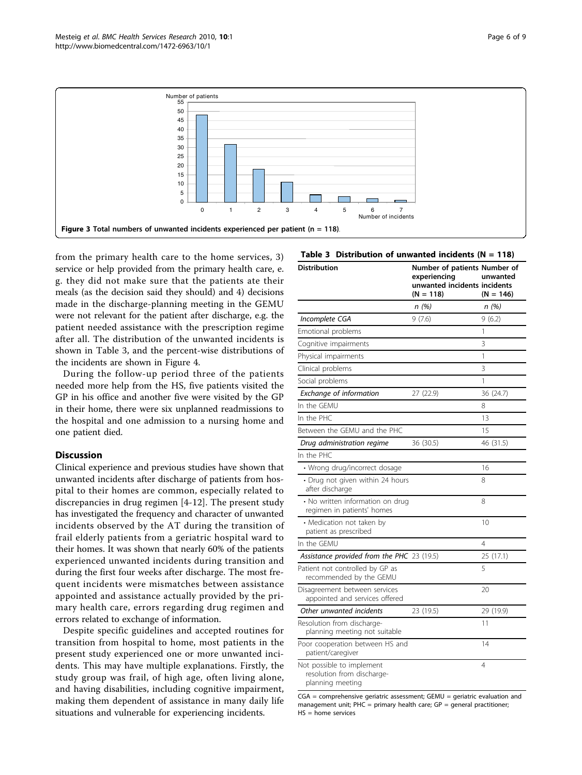<span id="page-5-0"></span>

from the primary health care to the home services, 3) service or help provided from the primary health care, e. g. they did not make sure that the patients ate their meals (as the decision said they should) and 4) decisions made in the discharge-planning meeting in the GEMU were not relevant for the patient after discharge, e.g. the patient needed assistance with the prescription regime after all. The distribution of the unwanted incidents is shown in Table 3, and the percent-wise distributions of the incidents are shown in [Figure 4.](#page-6-0)

During the follow-up period three of the patients needed more help from the HS, five patients visited the GP in his office and another five were visited by the GP in their home, there were six unplanned readmissions to the hospital and one admission to a nursing home and one patient died.

## Discussion

Clinical experience and previous studies have shown that unwanted incidents after discharge of patients from hospital to their homes are common, especially related to discrepancies in drug regimen [\[4](#page-7-0)-[12](#page-8-0)]. The present study has investigated the frequency and character of unwanted incidents observed by the AT during the transition of frail elderly patients from a geriatric hospital ward to their homes. It was shown that nearly 60% of the patients experienced unwanted incidents during transition and during the first four weeks after discharge. The most frequent incidents were mismatches between assistance appointed and assistance actually provided by the primary health care, errors regarding drug regimen and errors related to exchange of information.

Despite specific guidelines and accepted routines for transition from hospital to home, most patients in the present study experienced one or more unwanted incidents. This may have multiple explanations. Firstly, the study group was frail, of high age, often living alone, and having disabilities, including cognitive impairment, making them dependent of assistance in many daily life situations and vulnerable for experiencing incidents.

| <b>Distribution</b>                                                         | Number of patients Number of<br>experiencing<br>unwanted incidents incidents<br>$(N = 118)$ | unwanted<br>$(N = 146)$ |
|-----------------------------------------------------------------------------|---------------------------------------------------------------------------------------------|-------------------------|
|                                                                             | n(%)                                                                                        | n(%)                    |
| Incomplete CGA                                                              | 9(7.6)                                                                                      | 9(6.2)                  |
| Emotional problems                                                          |                                                                                             | 1                       |
| Cognitive impairments                                                       |                                                                                             | 3                       |
| Physical impairments                                                        |                                                                                             | 1                       |
| Clinical problems                                                           |                                                                                             | 3                       |
| Social problems                                                             |                                                                                             | 1                       |
| Exchange of information                                                     | 27 (22.9)                                                                                   | 36 (24.7)               |
| In the GEMU                                                                 |                                                                                             | 8                       |
| In the PHC                                                                  |                                                                                             | 13                      |
| Between the GEMU and the PHC                                                |                                                                                             | 15                      |
| Drug administration regime                                                  | 36 (30.5)                                                                                   | 46 (31.5)               |
| In the PHC                                                                  |                                                                                             |                         |
| • Wrong drug/incorrect dosage                                               |                                                                                             | 16                      |
| · Drug not given within 24 hours<br>after discharge                         |                                                                                             | 8                       |
| · No written information on drug<br>regimen in patients' homes              |                                                                                             | 8                       |
| • Medication not taken by<br>patient as prescribed                          |                                                                                             | 10                      |
| In the GEMU                                                                 |                                                                                             | 4                       |
| Assistance provided from the PHC 23 (19.5)                                  |                                                                                             | 25 (17.1)               |
| Patient not controlled by GP as<br>recommended by the GEMU                  |                                                                                             | 5                       |
| Disagreement between services<br>appointed and services offered             |                                                                                             | 20                      |
| Other unwanted incidents                                                    | 23 (19.5)                                                                                   | 29 (19.9)               |
| Resolution from discharge-<br>planning meeting not suitable                 |                                                                                             | 11                      |
| Poor cooperation between HS and<br>patient/caregiver                        |                                                                                             | 14                      |
| Not possible to implement<br>resolution from discharge-<br>planning meeting |                                                                                             | 4                       |

Table 3 Distribution of unwanted incidents  $(N = 118)$ 

CGA = comprehensive geriatric assessment; GEMU = geriatric evaluation and management unit;  $PHC = primary$  health care;  $GP = general$  practitioner; HS = home services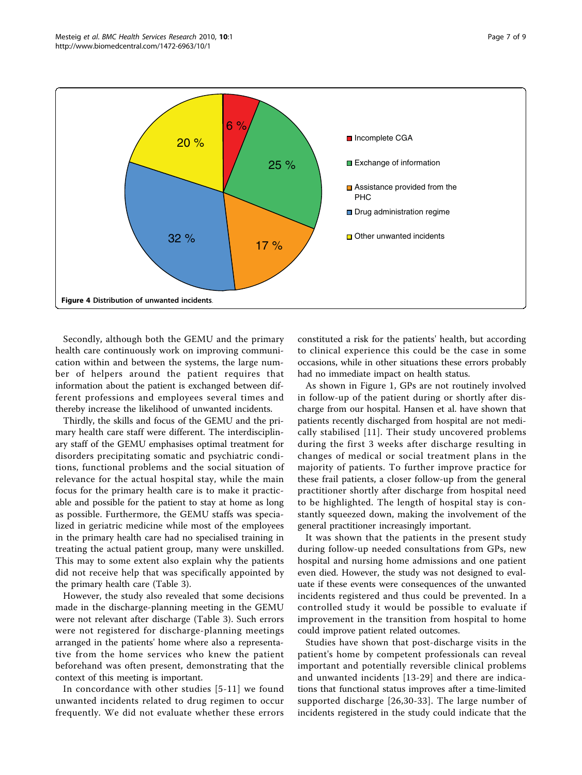<span id="page-6-0"></span>

Secondly, although both the GEMU and the primary health care continuously work on improving communication within and between the systems, the large number of helpers around the patient requires that information about the patient is exchanged between different professions and employees several times and thereby increase the likelihood of unwanted incidents.

Thirdly, the skills and focus of the GEMU and the primary health care staff were different. The interdisciplinary staff of the GEMU emphasises optimal treatment for disorders precipitating somatic and psychiatric conditions, functional problems and the social situation of relevance for the actual hospital stay, while the main focus for the primary health care is to make it practicable and possible for the patient to stay at home as long as possible. Furthermore, the GEMU staffs was specialized in geriatric medicine while most of the employees in the primary health care had no specialised training in treating the actual patient group, many were unskilled. This may to some extent also explain why the patients did not receive help that was specifically appointed by the primary health care [\(Table 3](#page-5-0)).

However, the study also revealed that some decisions made in the discharge-planning meeting in the GEMU were not relevant after discharge ([Table 3](#page-5-0)). Such errors were not registered for discharge-planning meetings arranged in the patients' home where also a representative from the home services who knew the patient beforehand was often present, demonstrating that the context of this meeting is important.

In concordance with other studies [\[5-](#page-7-0)[11\]](#page-8-0) we found unwanted incidents related to drug regimen to occur frequently. We did not evaluate whether these errors

constituted a risk for the patients' health, but according to clinical experience this could be the case in some occasions, while in other situations these errors probably had no immediate impact on health status.

As shown in [Figure 1,](#page-1-0) GPs are not routinely involved in follow-up of the patient during or shortly after discharge from our hospital. Hansen et al. have shown that patients recently discharged from hospital are not medically stabilised [[11\]](#page-8-0). Their study uncovered problems during the first 3 weeks after discharge resulting in changes of medical or social treatment plans in the majority of patients. To further improve practice for these frail patients, a closer follow-up from the general practitioner shortly after discharge from hospital need to be highlighted. The length of hospital stay is constantly squeezed down, making the involvement of the general practitioner increasingly important.

It was shown that the patients in the present study during follow-up needed consultations from GPs, new hospital and nursing home admissions and one patient even died. However, the study was not designed to evaluate if these events were consequences of the unwanted incidents registered and thus could be prevented. In a controlled study it would be possible to evaluate if improvement in the transition from hospital to home could improve patient related outcomes.

Studies have shown that post-discharge visits in the patient's home by competent professionals can reveal important and potentially reversible clinical problems and unwanted incidents [[13](#page-8-0)-[29](#page-8-0)] and there are indications that functional status improves after a time-limited supported discharge [[26,30-33\]](#page-8-0). The large number of incidents registered in the study could indicate that the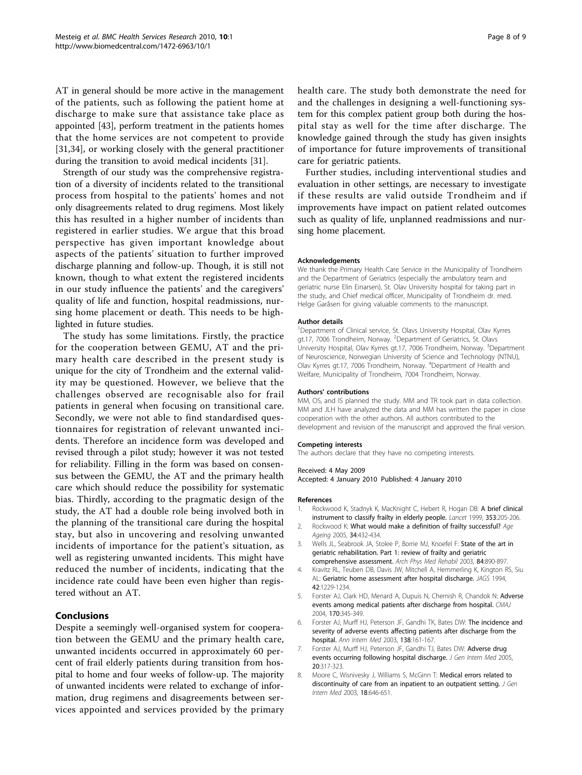<span id="page-7-0"></span>AT in general should be more active in the management of the patients, such as following the patient home at discharge to make sure that assistance take place as appointed [[43](#page-8-0)], perform treatment in the patients homes that the home services are not competent to provide [[31,34\]](#page-8-0), or working closely with the general practitioner during the transition to avoid medical incidents [\[31](#page-8-0)].

Strength of our study was the comprehensive registration of a diversity of incidents related to the transitional process from hospital to the patients' homes and not only disagreements related to drug regimens. Most likely this has resulted in a higher number of incidents than registered in earlier studies. We argue that this broad perspective has given important knowledge about aspects of the patients' situation to further improved discharge planning and follow-up. Though, it is still not known, though to what extent the registered incidents in our study influence the patients' and the caregivers' quality of life and function, hospital readmissions, nursing home placement or death. This needs to be highlighted in future studies.

The study has some limitations. Firstly, the practice for the cooperation between GEMU, AT and the primary health care described in the present study is unique for the city of Trondheim and the external validity may be questioned. However, we believe that the challenges observed are recognisable also for frail patients in general when focusing on transitional care. Secondly, we were not able to find standardised questionnaires for registration of relevant unwanted incidents. Therefore an incidence form was developed and revised through a pilot study; however it was not tested for reliability. Filling in the form was based on consensus between the GEMU, the AT and the primary health care which should reduce the possibility for systematic bias. Thirdly, according to the pragmatic design of the study, the AT had a double role being involved both in the planning of the transitional care during the hospital stay, but also in uncovering and resolving unwanted incidents of importance for the patient's situation, as well as registering unwanted incidents. This might have reduced the number of incidents, indicating that the incidence rate could have been even higher than registered without an AT.

## Conclusions

Despite a seemingly well-organised system for cooperation between the GEMU and the primary health care, unwanted incidents occurred in approximately 60 percent of frail elderly patients during transition from hospital to home and four weeks of follow-up. The majority of unwanted incidents were related to exchange of information, drug regimens and disagreements between services appointed and services provided by the primary health care. The study both demonstrate the need for and the challenges in designing a well-functioning system for this complex patient group both during the hospital stay as well for the time after discharge. The knowledge gained through the study has given insights of importance for future improvements of transitional care for geriatric patients.

Further studies, including interventional studies and evaluation in other settings, are necessary to investigate if these results are valid outside Trondheim and if improvements have impact on patient related outcomes such as quality of life, unplanned readmissions and nursing home placement.

#### Acknowledgements

We thank the Primary Health Care Service in the Municipality of Trondheim and the Department of Geriatrics (especially the ambulatory team and geriatric nurse Elin Einarsen), St. Olav University hospital for taking part in the study, and Chief medical officer, Municipality of Trondheim dr. med. Helge Garåsen for giving valuable comments to the manuscript.

#### Author details

<sup>1</sup>Department of Clinical service, St. Olavs University Hospital, Olav Kyrres gt.17, 7006 Trondheim, Norway. <sup>2</sup>Department of Geriatrics, St. Olavs University Hospital, Olav Kyrres gt.17, 7006 Trondheim, Norway. <sup>3</sup>Department of Neuroscience, Norwegian University of Science and Technology (NTNU), Olav Kyrres gt.17, 7006 Trondheim, Norway. <sup>4</sup>Department of Health and Welfare, Municipality of Trondheim, 7004 Trondheim, Norway.

#### Authors' contributions

MM, OS, and IS planned the study. MM and TR took part in data collection. MM and JLH have analyzed the data and MM has written the paper in close cooperation with the other authors. All authors contributed to the development and revision of the manuscript and approved the final version.

#### Competing interests

The authors declare that they have no competing interests.

#### Received: 4 May 2009

Accepted: 4 January 2010 Published: 4 January 2010

#### References

- 1. Rockwood K, Stadnyk K, MacKnight C, Hebert R, Hogan DB: [A brief clinical](http://www.ncbi.nlm.nih.gov/pubmed/9923878?dopt=Abstract) [instrument to classify frailty in elderly people.](http://www.ncbi.nlm.nih.gov/pubmed/9923878?dopt=Abstract) Lancet 1999, 353:205-206.
- 2. Rockwood K: [What would make a definition of frailty successful?](http://www.ncbi.nlm.nih.gov/pubmed/16107450?dopt=Abstract) Age Ageing 2005, 34:432-434.
- 3. Wells JL, Seabrook JA, Stolee P, Borrie MJ, Knoefel F: [State of the art in](http://www.ncbi.nlm.nih.gov/pubmed/12808544?dopt=Abstract) [geriatric rehabilitation. Part 1: review of frailty and geriatric](http://www.ncbi.nlm.nih.gov/pubmed/12808544?dopt=Abstract) [comprehensive assessment.](http://www.ncbi.nlm.nih.gov/pubmed/12808544?dopt=Abstract) Arch Phys Med Rehabil 2003, 84:890-897.
- 4. Kravitz RL, Teuben DB, Davis JW, Mitchell A, Hemmerling K, Kington RS, Siu AL: Geriatric home assessment after hospital discharge. JAGS 1994, 42:1229-1234.
- 5. Forster AJ, Clark HD, Menard A, Dupuis N, Chernish R, Chandok N: [Adverse](http://www.ncbi.nlm.nih.gov/pubmed/14757670?dopt=Abstract) [events among medical patients after discharge from hospital.](http://www.ncbi.nlm.nih.gov/pubmed/14757670?dopt=Abstract) CMAJ 2004, 170:345-349.
- 6. Forster AJ, Murff HJ, Peterson JF, Gandhi TK, Bates DW: [The incidence and](http://www.ncbi.nlm.nih.gov/pubmed/12558354?dopt=Abstract) [severity of adverse events affecting patients after discharge from the](http://www.ncbi.nlm.nih.gov/pubmed/12558354?dopt=Abstract) [hospital.](http://www.ncbi.nlm.nih.gov/pubmed/12558354?dopt=Abstract) Ann Intern Med 2003, 138:161-167.
- 7. Forster AJ, Murff HJ, Peterson JF, Gandhi TJ, Bates DW: [Adverse drug](http://www.ncbi.nlm.nih.gov/pubmed/15857487?dopt=Abstract) [events occurring following hospital discharge.](http://www.ncbi.nlm.nih.gov/pubmed/15857487?dopt=Abstract) J Gen Intern Med 2005, 20:317-323.
- 8. Moore C, Wisnivesky J, Williams S, McGinn T: [Medical errors related to](http://www.ncbi.nlm.nih.gov/pubmed/12911647?dopt=Abstract) [discontinuity of care from an inpatient to an outpatient setting.](http://www.ncbi.nlm.nih.gov/pubmed/12911647?dopt=Abstract) J Gen Intern Med 2003, 18:646-651.